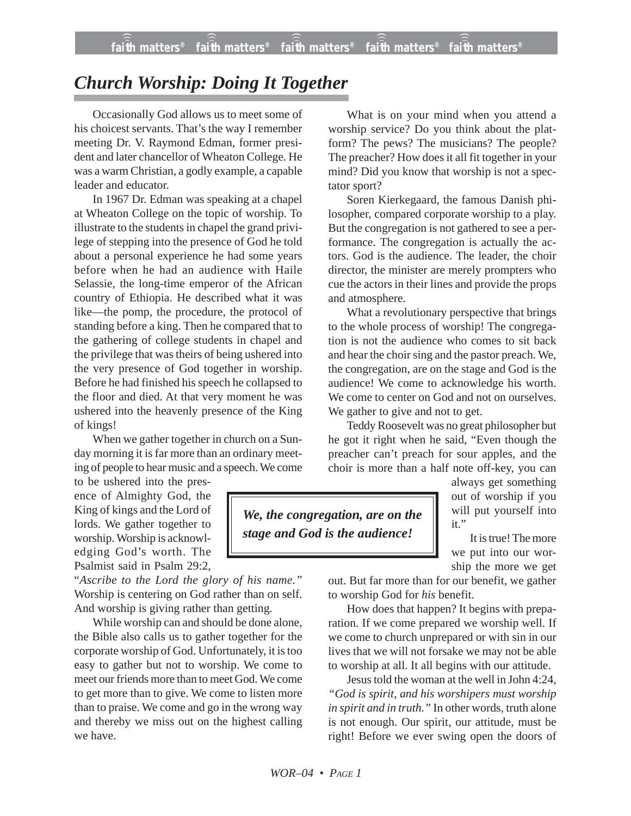## *Church Worship: Doing It Together*

Occasionally God allows us to meet some of his choicest servants. That's the way I remember meeting Dr. V. Raymond Edman, former president and later chancellor of Wheaton College. He was a warm Christian, a godly example, a capable leader and educator.

In 1967 Dr. Edman was speaking at a chapel at Wheaton College on the topic of worship. To illustrate to the students in chapel the grand privilege of stepping into the presence of God he told about a personal experience he had some years before when he had an audience with Haile Selassie, the long-time emperor of the African country of Ethiopia. He described what it was like—the pomp, the procedure, the protocol of standing before a king. Then he compared that to the gathering of college students in chapel and the privilege that was theirs of being ushered into the very presence of God together in worship. Before he had finished his speech he collapsed to the floor and died. At that very moment he was ushered into the heavenly presence of the King of kings!

When we gather together in church on a Sunday morning it is far more than an ordinary meeting of people to hear music and a speech. We come

to be ushered into the presence of Almighty God, the King of kings and the Lord of lords. We gather together to worship. Worship is acknowledging God's worth. The Psalmist said in Psalm 29:2,

"*Ascribe to the Lord the glory of his name."* Worship is centering on God rather than on self. And worship is giving rather than getting.

While worship can and should be done alone, the Bible also calls us to gather together for the corporate worship of God. Unfortunately, it is too easy to gather but not to worship. We come to meet our friends more than to meet God. We come to get more than to give. We come to listen more than to praise. We come and go in the wrong way and thereby we miss out on the highest calling we have.

What is on your mind when you attend a worship service? Do you think about the platform? The pews? The musicians? The people? The preacher? How does it all fit together in your mind? Did you know that worship is not a spectator sport?

Soren Kierkegaard, the famous Danish philosopher, compared corporate worship to a play. But the congregation is not gathered to see a performance. The congregation is actually the actors. God is the audience. The leader, the choir director, the minister are merely prompters who cue the actors in their lines and provide the props and atmosphere.

What a revolutionary perspective that brings to the whole process of worship! The congregation is not the audience who comes to sit back and hear the choir sing and the pastor preach. We, the congregation, are on the stage and God is the audience! We come to acknowledge his worth. We come to center on God and not on ourselves. We gather to give and not to get.

Teddy Roosevelt was no great philosopher but he got it right when he said, "Even though the preacher can't preach for sour apples, and the choir is more than a half note off-key, you can

*We, the congregation, are on the stage and God is the audience!*

always get something out of worship if you will put yourself into it."

It is true! The more we put into our worship the more we get

out. But far more than for our benefit, we gather to worship God for *his* benefit.

How does that happen? It begins with preparation. If we come prepared we worship well. If we come to church unprepared or with sin in our lives that we will not forsake we may not be able to worship at all. It all begins with our attitude.

Jesus told the woman at the well in John 4:24, *"God is spirit, and his worshipers must worship in spirit and in truth."* In other words, truth alone is not enough. Our spirit, our attitude, must be right! Before we ever swing open the doors of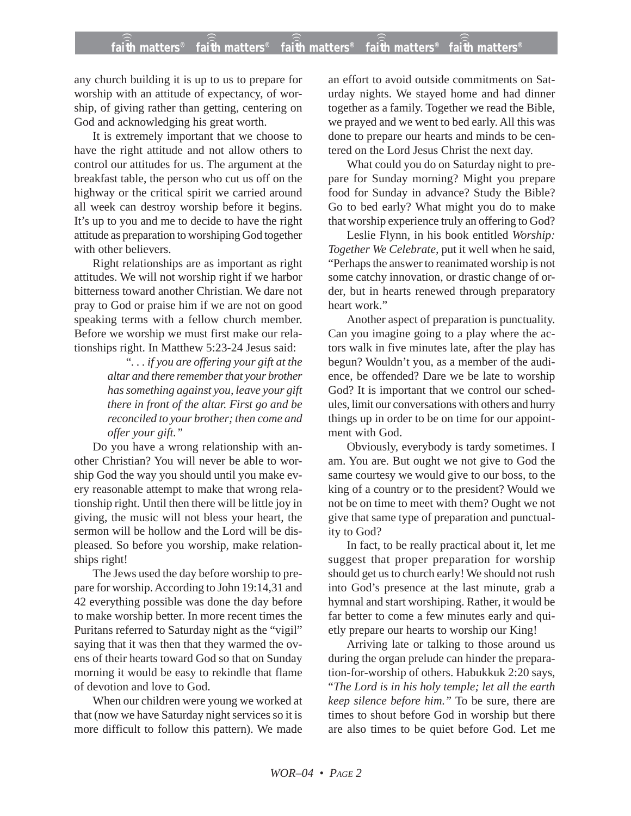## **faith matters® faith matters® faith matters® faith matters® faith matters®** ))) ))) ))) ))) )))

any church building it is up to us to prepare for worship with an attitude of expectancy, of worship, of giving rather than getting, centering on God and acknowledging his great worth.

It is extremely important that we choose to have the right attitude and not allow others to control our attitudes for us. The argument at the breakfast table, the person who cut us off on the highway or the critical spirit we carried around all week can destroy worship before it begins. It's up to you and me to decide to have the right attitude as preparation to worshiping God together with other believers.

Right relationships are as important as right attitudes. We will not worship right if we harbor bitterness toward another Christian. We dare not pray to God or praise him if we are not on good speaking terms with a fellow church member. Before we worship we must first make our relationships right. In Matthew 5:23-24 Jesus said:

> "*. . . if you are offering your gift at the altar and there remember that your brother has something against you, leave your gift there in front of the altar. First go and be reconciled to your brother; then come and offer your gift."*

Do you have a wrong relationship with another Christian? You will never be able to worship God the way you should until you make every reasonable attempt to make that wrong relationship right. Until then there will be little joy in giving, the music will not bless your heart, the sermon will be hollow and the Lord will be displeased. So before you worship, make relationships right!

The Jews used the day before worship to prepare for worship. According to John 19:14,31 and 42 everything possible was done the day before to make worship better. In more recent times the Puritans referred to Saturday night as the "vigil" saying that it was then that they warmed the ovens of their hearts toward God so that on Sunday morning it would be easy to rekindle that flame of devotion and love to God.

When our children were young we worked at that (now we have Saturday night services so it is more difficult to follow this pattern). We made an effort to avoid outside commitments on Saturday nights. We stayed home and had dinner together as a family. Together we read the Bible, we prayed and we went to bed early. All this was done to prepare our hearts and minds to be centered on the Lord Jesus Christ the next day.

What could you do on Saturday night to prepare for Sunday morning? Might you prepare food for Sunday in advance? Study the Bible? Go to bed early? What might you do to make that worship experience truly an offering to God?

Leslie Flynn, in his book entitled *Worship: Together We Celebrate,* put it well when he said, "Perhaps the answer to reanimated worship is not some catchy innovation, or drastic change of order, but in hearts renewed through preparatory heart work."

Another aspect of preparation is punctuality. Can you imagine going to a play where the actors walk in five minutes late, after the play has begun? Wouldn't you, as a member of the audience, be offended? Dare we be late to worship God? It is important that we control our schedules, limit our conversations with others and hurry things up in order to be on time for our appointment with God.

Obviously, everybody is tardy sometimes. I am. You are. But ought we not give to God the same courtesy we would give to our boss, to the king of a country or to the president? Would we not be on time to meet with them? Ought we not give that same type of preparation and punctuality to God?

In fact, to be really practical about it, let me suggest that proper preparation for worship should get us to church early! We should not rush into God's presence at the last minute, grab a hymnal and start worshiping. Rather, it would be far better to come a few minutes early and quietly prepare our hearts to worship our King!

Arriving late or talking to those around us during the organ prelude can hinder the preparation-for-worship of others. Habukkuk 2:20 says, "*The Lord is in his holy temple; let all the earth keep silence before him."* To be sure, there are times to shout before God in worship but there are also times to be quiet before God. Let me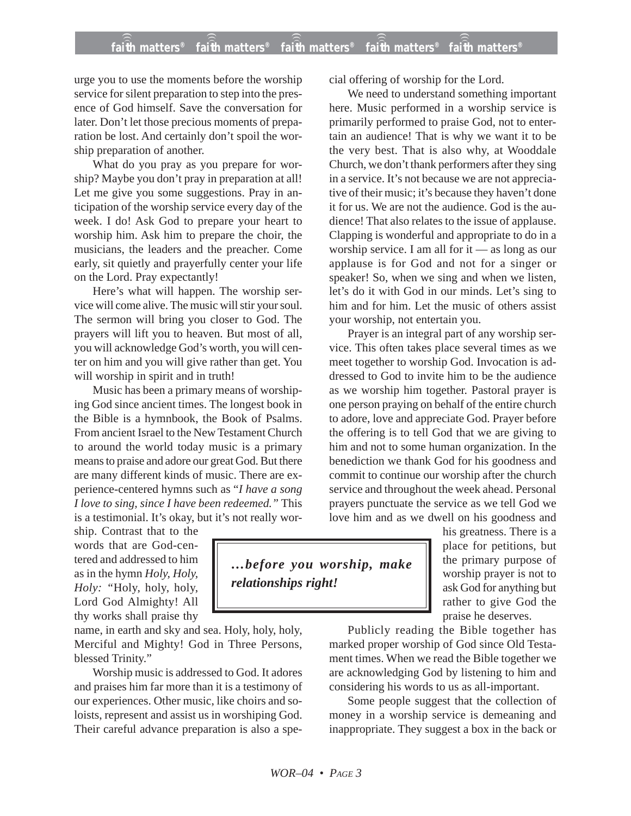## **faith matters® faith matters® faith matters® faith matters® faith matters®** ))) ))) ))) ))) )))

urge you to use the moments before the worship service for silent preparation to step into the presence of God himself. Save the conversation for later. Don't let those precious moments of preparation be lost. And certainly don't spoil the worship preparation of another.

What do you pray as you prepare for worship? Maybe you don't pray in preparation at all! Let me give you some suggestions. Pray in anticipation of the worship service every day of the week. I do! Ask God to prepare your heart to worship him. Ask him to prepare the choir, the musicians, the leaders and the preacher. Come early, sit quietly and prayerfully center your life on the Lord. Pray expectantly!

Here's what will happen. The worship service will come alive. The music will stir your soul. The sermon will bring you closer to God. The prayers will lift you to heaven. But most of all, you will acknowledge God's worth, you will center on him and you will give rather than get. You will worship in spirit and in truth!

Music has been a primary means of worshiping God since ancient times. The longest book in the Bible is a hymnbook, the Book of Psalms. From ancient Israel to the New Testament Church to around the world today music is a primary means to praise and adore our great God. But there are many different kinds of music. There are experience-centered hymns such as "*I have a song I love to sing, since I have been redeemed."* This is a testimonial. It's okay, but it's not really wor-

ship. Contrast that to the words that are God-centered and addressed to him as in the hymn *Holy, Holy, Holy: "*Holy, holy, holy, Lord God Almighty! All thy works shall praise thy

name, in earth and sky and sea. Holy, holy, holy, Merciful and Mighty! God in Three Persons, blessed Trinity."

Worship music is addressed to God. It adores and praises him far more than it is a testimony of our experiences. Other music, like choirs and soloists, represent and assist us in worshiping God. Their careful advance preparation is also a special offering of worship for the Lord.

We need to understand something important here. Music performed in a worship service is primarily performed to praise God, not to entertain an audience! That is why we want it to be the very best. That is also why, at Wooddale Church, we don't thank performers after they sing in a service. It's not because we are not appreciative of their music; it's because they haven't done it for us. We are not the audience. God is the audience! That also relates to the issue of applause. Clapping is wonderful and appropriate to do in a worship service. I am all for it — as long as our applause is for God and not for a singer or speaker! So, when we sing and when we listen, let's do it with God in our minds. Let's sing to him and for him. Let the music of others assist your worship, not entertain you.

Prayer is an integral part of any worship service. This often takes place several times as we meet together to worship God. Invocation is addressed to God to invite him to be the audience as we worship him together. Pastoral prayer is one person praying on behalf of the entire church to adore, love and appreciate God. Prayer before the offering is to tell God that we are giving to him and not to some human organization. In the benediction we thank God for his goodness and commit to continue our worship after the church service and throughout the week ahead. Personal prayers punctuate the service as we tell God we love him and as we dwell on his goodness and

> his greatness. There is a place for petitions, but the primary purpose of worship prayer is not to ask God for anything but rather to give God the praise he deserves.

Publicly reading the Bible together has marked proper worship of God since Old Testament times. When we read the Bible together we are acknowledging God by listening to him and considering his words to us as all-important.

Some people suggest that the collection of money in a worship service is demeaning and inappropriate. They suggest a box in the back or

*…before you worship, make relationships right!*